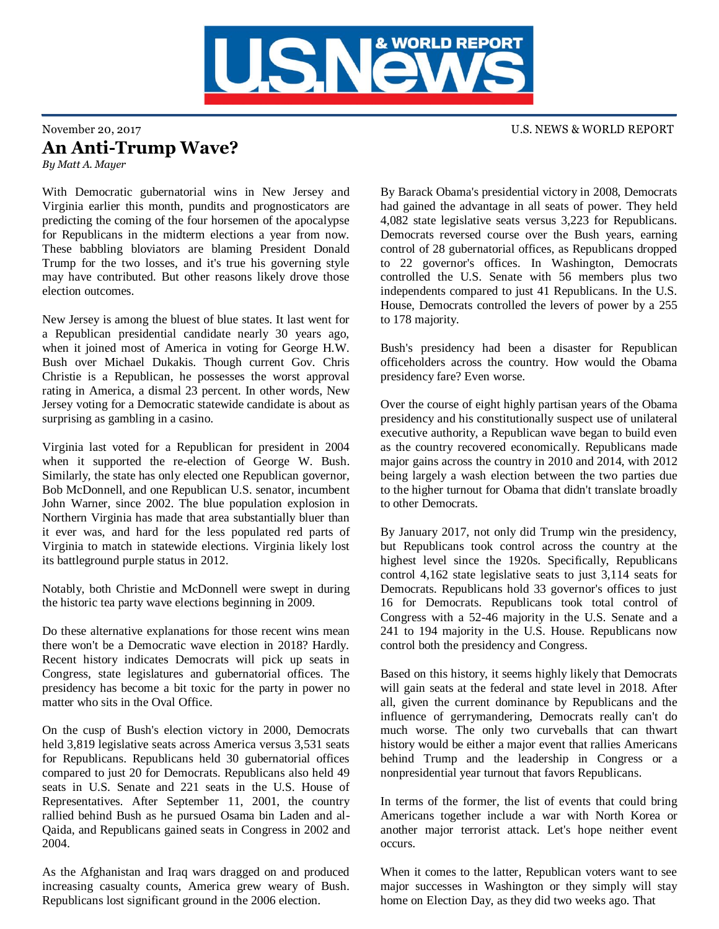

## November 20, 2017 U.S. NEWS & WORLD REPORT An Anti-Trump Wave? *By Matt A. Mayer*

With Democratic gubernatorial wins in New Jersey and Virginia earlier this month, pundits and prognosticators are predicting the coming of the four horsemen of the apocalypse for Republicans in the midterm elections a year from now. These babbling bloviators are blaming President Donald Trump for the two losses, and it's true his governing style may have contributed. But other reasons likely drove those election outcomes.

New Jersey is among the bluest of blue states. It last went for a Republican presidential candidate nearly 30 years ago, when it joined most of America in voting for George H.W. Bush over Michael Dukakis. Though current Gov. Chris Christie is a Republican, he possesses the worst approval rating in America, a dismal 23 percent. In other words, New Jersey voting for a Democratic statewide candidate is about as surprising as gambling in a casino.

Virginia last voted for a Republican for president in 2004 when it supported the re-election of George W. Bush. Similarly, the state has only elected one Republican governor, Bob McDonnell, and one Republican U.S. senator, incumbent John Warner, since 2002. The blue population explosion in Northern Virginia has made that area substantially bluer than it ever was, and hard for the less populated red parts of Virginia to match in statewide elections. Virginia likely lost its battleground purple status in 2012.

Notably, both Christie and McDonnell were swept in during the historic tea party wave elections beginning in 2009.

Do these alternative explanations for those recent wins mean there won't be a Democratic wave election in 2018? Hardly. Recent history indicates Democrats will pick up seats in Congress, state legislatures and gubernatorial offices. The presidency has become a bit toxic for the party in power no matter who sits in the Oval Office.

On the cusp of Bush's election victory in 2000, Democrats held 3,819 legislative seats across America versus 3,531 seats for Republicans. Republicans held 30 gubernatorial offices compared to just 20 for Democrats. Republicans also held 49 seats in U.S. Senate and 221 seats in the U.S. House of Representatives. After September 11, 2001, the country rallied behind Bush as he pursued Osama bin Laden and al-Qaida, and Republicans gained seats in Congress in 2002 and 2004.

As the Afghanistan and Iraq wars dragged on and produced increasing casualty counts, America grew weary of Bush. Republicans lost significant ground in the 2006 election.

By Barack Obama's presidential victory in 2008, Democrats had gained the advantage in all seats of power. They held 4,082 state legislative seats versus 3,223 for Republicans. Democrats reversed course over the Bush years, earning control of 28 gubernatorial offices, as Republicans dropped to 22 governor's offices. In Washington, Democrats controlled the U.S. Senate with 56 members plus two independents compared to just 41 Republicans. In the U.S. House, Democrats controlled the levers of power by a 255 to 178 majority.

Bush's presidency had been a disaster for Republican officeholders across the country. How would the Obama presidency fare? Even worse.

Over the course of eight highly partisan years of the Obama presidency and his constitutionally suspect use of unilateral executive authority, a Republican wave began to build even as the country recovered economically. Republicans made major gains across the country in 2010 and 2014, with 2012 being largely a wash election between the two parties due to the higher turnout for Obama that didn't translate broadly to other Democrats.

By January 2017, not only did Trump win the presidency, but Republicans took control across the country at the highest level since the 1920s. Specifically, Republicans control 4,162 state legislative seats to just 3,114 seats for Democrats. Republicans hold 33 governor's offices to just 16 for Democrats. Republicans took total control of Congress with a 52-46 majority in the U.S. Senate and a 241 to 194 majority in the U.S. House. Republicans now control both the presidency and Congress.

Based on this history, it seems highly likely that Democrats will gain seats at the federal and state level in 2018. After all, given the current dominance by Republicans and the influence of gerrymandering, Democrats really can't do much worse. The only two curveballs that can thwart history would be either a major event that rallies Americans behind Trump and the leadership in Congress or a nonpresidential year turnout that favors Republicans.

In terms of the former, the list of events that could bring Americans together include a war with North Korea or another major terrorist attack. Let's hope neither event occurs.

When it comes to the latter, Republican voters want to see major successes in Washington or they simply will stay home on Election Day, as they did two weeks ago. That